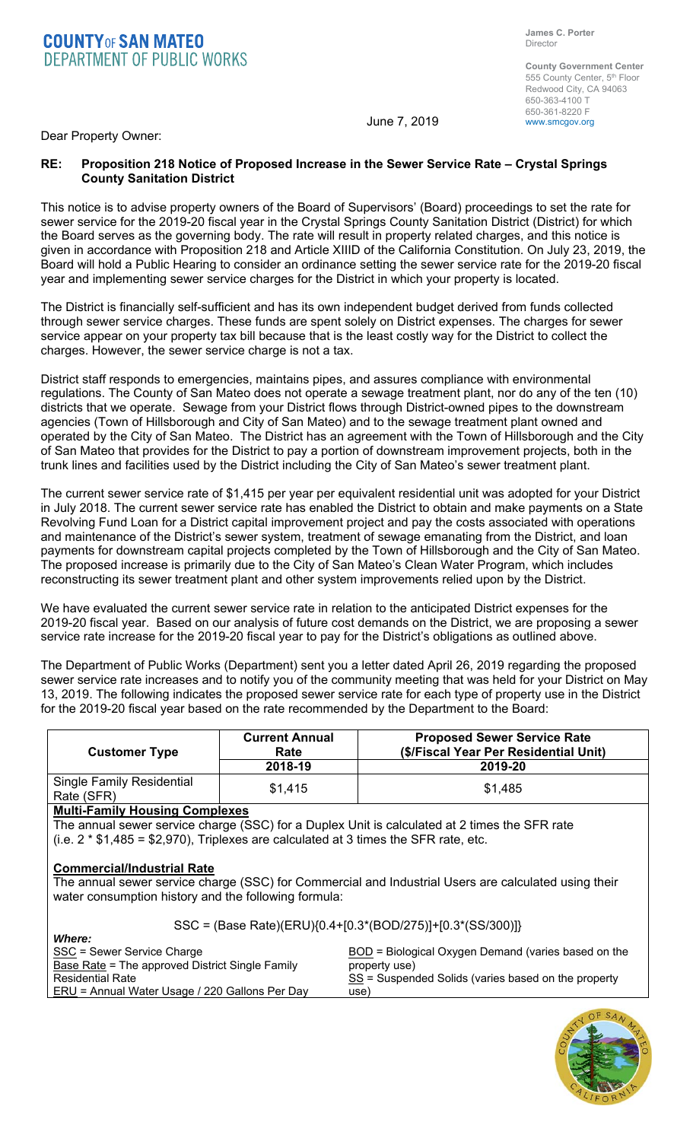**County Government Center**  555 County Center, 5<sup>th</sup> Floor Redwood City, CA 94063 650-363-4100 T 650-361-8220 F<br>www.smcgov.org

June 7, 2019

Dear Property Owner:

#### **RE: Proposition 218 Notice of Proposed Increase in the Sewer Service Rate – Crystal Springs County Sanitation District**

This notice is to advise property owners of the Board of Supervisors' (Board) proceedings to set the rate for sewer service for the 2019-20 fiscal year in the Crystal Springs County Sanitation District (District) for which the Board serves as the governing body. The rate will result in property related charges, and this notice is given in accordance with Proposition 218 and Article XIIID of the California Constitution. On July 23, 2019, the Board will hold a Public Hearing to consider an ordinance setting the sewer service rate for the 2019-20 fiscal year and implementing sewer service charges for the District in which your property is located.

The District is financially self-sufficient and has its own independent budget derived from funds collected through sewer service charges. These funds are spent solely on District expenses. The charges for sewer service appear on your property tax bill because that is the least costly way for the District to collect the charges. However, the sewer service charge is not a tax.

District staff responds to emergencies, maintains pipes, and assures compliance with environmental regulations. The County of San Mateo does not operate a sewage treatment plant, nor do any of the ten (10) districts that we operate. Sewage from your District flows through District-owned pipes to the downstream agencies (Town of Hillsborough and City of San Mateo) and to the sewage treatment plant owned and operated by the City of San Mateo. The District has an agreement with the Town of Hillsborough and the City of San Mateo that provides for the District to pay a portion of downstream improvement projects, both in the trunk lines and facilities used by the District including the City of San Mateo's sewer treatment plant.

The current sewer service rate of \$1,415 per year per equivalent residential unit was adopted for your District in July 2018. The current sewer service rate has enabled the District to obtain and make payments on a State Revolving Fund Loan for a District capital improvement project and pay the costs associated with operations and maintenance of the District's sewer system, treatment of sewage emanating from the District, and loan payments for downstream capital projects completed by the Town of Hillsborough and the City of San Mateo. The proposed increase is primarily due to the City of San Mateo's Clean Water Program, which includes reconstructing its sewer treatment plant and other system improvements relied upon by the District.

We have evaluated the current sewer service rate in relation to the anticipated District expenses for the 2019-20 fiscal year. Based on our analysis of future cost demands on the District, we are proposing a sewer service rate increase for the 2019-20 fiscal year to pay for the District's obligations as outlined above.

The Department of Public Works (Department) sent you a letter dated April 26, 2019 regarding the proposed sewer service rate increases and to notify you of the community meeting that was held for your District on May 13, 2019. The following indicates the proposed sewer service rate for each type of property use in the District for the 2019-20 fiscal year based on the rate recommended by the Department to the Board:

| <b>Customer Type</b>                           | <b>Current Annual</b><br>Rate<br>2018-19 | <b>Proposed Sewer Service Rate</b><br>(\$/Fiscal Year Per Residential Unit)<br>2019-20 |
|------------------------------------------------|------------------------------------------|----------------------------------------------------------------------------------------|
| <b>Single Family Residential</b><br>Rate (SFR) | \$1,415                                  | \$1,485                                                                                |

### **Multi-Family Housing Complexes**

The annual sewer service charge (SSC) for a Duplex Unit is calculated at 2 times the SFR rate (i.e.  $2 * $1,485 = $2,970$ ), Triplexes are calculated at 3 times the SFR rate, etc.

# **Commercial/Industrial Rate**

The annual sewer service charge (SSC) for Commercial and Industrial Users are calculated using their water consumption history and the following formula:

## SSC = (Base Rate)(ERU){0.4+[0.3\*(BOD/275)]+[0.3\*(SS/300)]}

| <b>Where:</b>                                   |                                                     |
|-------------------------------------------------|-----------------------------------------------------|
| SSC = Sewer Service Charge                      | BOD = Biological Oxygen Demand (varies based on the |
| Base Rate = The approved District Single Family | property use)                                       |
| <b>Residential Rate</b>                         | SS = Suspended Solids (varies based on the property |
| ERU = Annual Water Usage / 220 Gallons Per Day  | use)                                                |